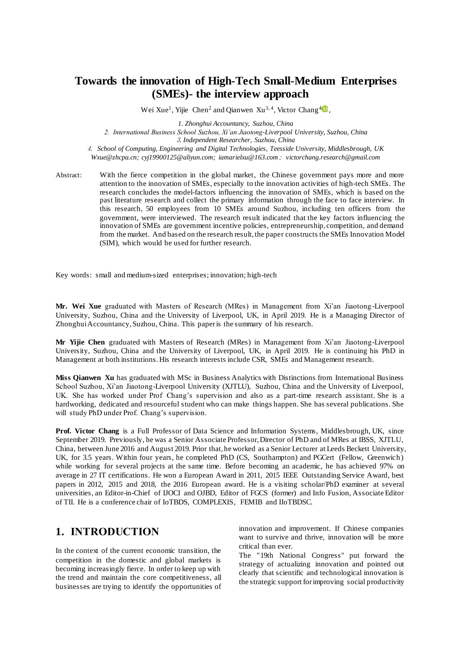# **Towards the innovation of High-Tech Small-Medium Enterprises (SMEs)- the interview approach**

Wei Xue<sup>1</sup>, Yijie Chen<sup>2</sup> and Qianwen Xu<sup>3,4</sup>, Victor Chang<sup>4</sup><sup>0</sup>,

*1. Zhonghui Accountancy, Suzhou, China 2. International Business School Suzhou, Xi'an Jiaotong-Liverpool University, Suzhou, China* <sup>3</sup>*. Independent Researcher, Suzhou, China*

4. *School of Computing, Engineering and Digital Technologies, Teesside University, Middlesbrough, UK Wxue@zhcpa.cn; cyj19900125@aliyun.com; iamarielxu@163.com*; *victorchang.research@gmail.com*

Abstract: With the fierce competition in the global market, the Chinese government pays more and more attention to the innovation of SMEs, especially to the innovation activities of high-tech SMEs. The research concludes the model-factors influencing the innovation of SMEs, which is based on the past literature research and collect the primary information through the face to face interview. In this research, 50 employees from 10 SMEs around Suzhou, including ten officers from the government, were interviewed. The research result indicated that the key factors influencing the innovation of SMEs are government incentive policies, entrepreneurship, competition, and demand from the market. And based on the research result, the paper constructs the SMEs Innovation Model (SIM), which would be used for further research.

Key words: small and medium-sized enterprises; innovation; high-tech

**Mr. Wei Xue** graduated with Masters of Research (MRes) in Management from Xi'an Jiaotong -Liverpool University, Suzhou, China and the University of Liverpool, UK, in April 2019. He is a Managing Director of Zhonghui Accountancy, Suzhou, China. This paper is the summary of his research.

**Mr Yijie Chen** graduated with Masters of Research (MRes) in Management from Xi'an Jiaotong-Liverpool University, Suzhou, China and the University of Liverpool, UK, in April 2019. He is continuing his PhD in Management at both institutions. His research interests include CSR, SMEs and Management research.

**Miss Qianwen Xu** has graduated with MSc in Business Analytics with Distinctions from International Business School Suzhou, Xi'an Jiaotong-Liverpool University (XJTLU), Suzhou, China and the University of Liverpool, UK. She has worked under Prof Chang's supervision and also as a part-time research assistant. She is a hardworking, dedicated and resourceful student who can make things happen. She has several publications. She will study PhD under Prof. Chang's supervision.

**Prof. Victor Chang** is a Full Professor of Data Science and Information Systems, Middlesbrough, UK, since September 2019. Previously, he was a Senior Associate Professor, Director of PhD and of MRes at IBSS, XJTLU, China, between June 2016 and August 2019. Prior that, he worked as a Senior Lecturer at Leeds Beckett University, UK, for 3.5 years. Within four years, he completed PhD (CS, Southampton) and PGCert (Fellow, Greenwich) while working for several projects at the same time. Before becoming an academic, he has achieved 97% on average in 27 IT certifications. He won a European Award in 2011, 2015 IEEE Outstanding Service Award, best papers in 2012, 2015 and 2018, the 2016 European award. He is a visiting scholar/PhD examiner at several universities, an Editor-in-Chief of IJOCI and OJBD, Editor of FGCS (former) and Info Fusion, Associate Editor of TII. He is a conference chair of IoTBDS, COMPLEXIS, FEMIB and IIoTBDSC.

### **1. INTRODUCTION**

In the context of the current economic transition, the competition in the domestic and global markets is becoming increasingly fierce. In order to keep up with the trend and maintain the core competitiveness, all businesses are trying to identify the opportunities of innovation and improvement. If Chinese companies want to survive and thrive, innovation will be more critical than ever.

The "19th National Congress" put forward the strategy of actualizing innovation and pointed out clearly that scientific and technological innovation is the strategic support for improving social productivity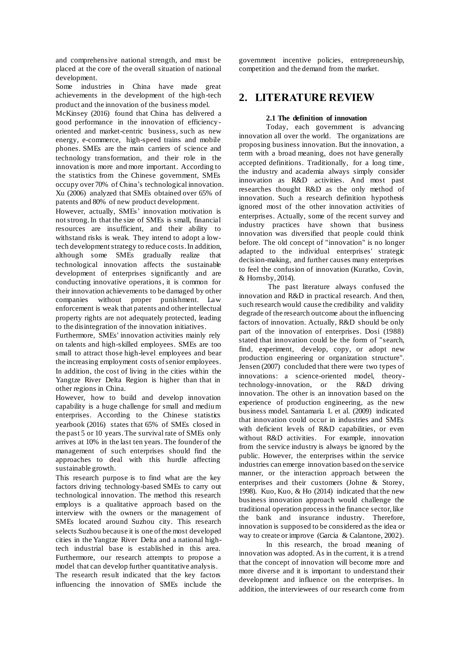and comprehensive national strength, and must be placed at the core of the overall situation of national development.

Some industries in China have made great achievements in the development of the high-tech product and the innovation of the business model.

McKinsey (2016) found that China has delivered a good performance in the innovation of efficiencyoriented and market-centric business, such as new energy, e-commerce, high-speed trains and mobile phones. SMEs are the main carriers of science and technology transformation, and their role in the innovation is more and more important. According to the statistics from the Chinese government, SMEs occupy over 70% of China's technological innovation. Xu (2006) analyzed that SMEs obtained over 65% of patents and 80% of new product development.

However, actually, SMEs' innovation motivation is not strong.In that the size of SMEs is small, financial resources are insufficient, and their ability to withstand risks is weak. They intend to adopt a lowtech development strategy to reduce costs.In addition, although some SMEs gradually realize that technological innovation affects the sustainable development of enterprises significantly and are conducting innovative operations, it is common for their innovation achievements to be damaged by other companies without proper punishment. Law enforcement is weak that patents and other intellectual property rights are not adequately protected, leading to the disintegration of the innovation initiatives.

Furthermore, SMEs' innovation activities mainly rely on talents and high-skilled employees. SMEs are too small to attract those high-level employees and bear the increasing employment costs of senior employees. In addition, the cost of living in the cities within the Yangtze River Delta Region is higher than that in other regions in China.

However, how to build and develop innovation capability is a huge challenge for small and medium enterprises. According to the Chinese statistics yearbook (2016) states that 65% of SMEs closed in the past 5 or 10 years. The survival rate of SMEs only arrives at 10% in the last ten years. The founder of the management of such enterprises should find the approaches to deal with this hurdle affecting sustainable growth.

This research purpose is to find what are the key factors driving technology-based SMEs to carry out technological innovation. The method this research employs is a qualitative approach based on the interview with the owners or the management of SMEs located around Suzhou city. This research selects Suzhou because it is one of the most developed cities in the Yangtze River Delta and a national hightech industrial base is established in this area. Furthermore, our research attempts to propose a model that can develop further quantitative analysis. The research result indicated that the key factors influencing the innovation of SMEs include the

government incentive policies, entrepreneurship, competition and the demand from the market.

## **2. LITERATURE REVIEW**

### **2.1 The definition of innovation**

Today, each government is advancing innovation all over the world. The organizations are proposing business innovation. But the innovation, a term with a broad meaning, does not have generally accepted definitions. Traditionally, for a long time, the industry and academia always simply consider innovation as R&D activities. And most past researches thought R&D as the only method of innovation. Such a research definition hypothesis ignored most of the other innovation activities of enterprises. Actually, some of the recent survey and industry practices have shown that business innovation was diversified that people could think before. The old concept of "innovation" is no longer adapted to the individual enterprises' strategic decision-making, and further causes many enterprises to feel the confusion of innovation (Kuratko, Covin, & Hornsby, 2014).

The past literature always confused the innovation and R&D in practical research. And then, such research would cause the credibility and validity degrade of the research outcome about the influencing factors of innovation. Actually, R&D should be only part of the innovation of enterprises. Dosi (1988) stated that innovation could be the form of "search, find, experiment, develop, copy, or adopt new production engineering or organization structure". Jensen (2007) concluded that there were two types of innovations: a science-oriented model, theorytechnology-innovation, or the R&D driving innovation. The other is an innovation based on the experience of production engineering, as the new business model. Santamaria L et al. (2009) indicated that innovation could occur in industries and SMEs with deficient levels of R&D capabilities, or even without R&D activities. For example, innovation from the service industry is always be ignored by the public. However, the enterprises within the service industries can emerge innovation based on the service manner, or the interaction approach between the enterprises and their customers (Johne & Storey, 1998). Kuo, Kuo, & Ho (2014) indicated that the new business innovation approach would challenge the traditional operation process in the finance sector, like the bank and insurance industry. Therefore, innovation is supposed to be considered as the idea or way to create or improve (Garcia & Calantone, 2002).

In this research, the broad meaning of innovation was adopted. As in the current, it is a trend that the concept of innovation will become more and more diverse and it is important to understand their development and influence on the enterprises. In addition, the interviewees of our research come from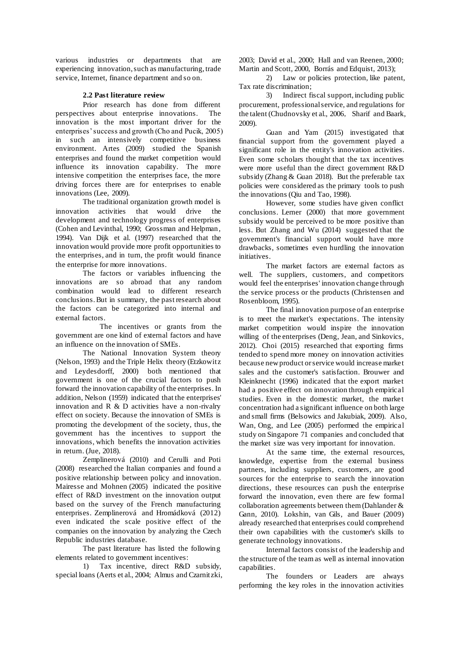various industries or departments that are experiencing innovation, such as manufacturing, trade service, Internet, finance department and so on.

#### **2.2 Past literature review**

Prior research has done from different<br>ives about enterprise innovations. The perspectives about enterprise innovations. innovation is the most important driver for the enterprises' success and growth (Cho and Pucik, 2005) in such an intensively competitive business environment. Artes (2009) studied the Spanish enterprises and found the market competition would influence its innovation capability. The more intensive competition the enterprises face, the more driving forces there are for enterprises to enable innovations (Lee, 2009).

The traditional organization growth model is innovation activities that would drive the development and technology progress of enterprises (Cohen and Levinthal, 1990; Grossman and Helpman, 1994). Van Dijk et al. (1997) researched that the innovation would provide more profit opportunities to the enterprises, and in turn, the profit would finance the enterprise for more innovations.

The factors or variables influencing the innovations are so abroad that any random combination would lead to different research conclusions. But in summary, the past research about the factors can be categorized into internal and external factors.

The incentives or grants from the government are one kind of external factors and have an influence on the innovation of SMEs.

The National Innovation System theory (Nelson, 1993) and the Triple Helix theory (Etzkowitz and Leydesdorff, 2000) both mentioned that government is one of the crucial factors to push forward the innovation capability of the enterprises. In addition, Nelson (1959) indicated that the enterprises' innovation and R & D activities have a non-rivalry effect on society. Because the innovation of SMEs is promoting the development of the society, thus, the government has the incentives to support the innovations, which benefits the innovation activities in return. (Jue, 2018).

Zemplinerová (2010) and Cerulli and Poti (2008) researched the Italian companies and found a positive relationship between policy and innovation. Mairesse and Mohnen (2005) indicated the positive effect of R&D investment on the innovation output based on the survey of the French manufacturing enterprises. Zemplinerová and Hromádková (2012) even indicated the scale positive effect of the companies on the innovation by analyzing the Czech Republic industries database.

The past literature has listed the following elements related to government incentives:

1) Tax incentive, direct R&D subsidy, special loans (Aerts et al., 2004; Almus and Czarnitzki,

2003; David et al., 2000; Hall and van Reenen, 2000; Martin and Scott, 2000, Borrás and Edquist, 2013);

2) Law or policies protection, like patent, Tax rate discrimination;

3) Indirect fiscal support, including public procurement, professional service, and regulations for the talent (Chudnovsky et al., 2006, Sharif and Baark, 2009).

Guan and Yam (2015) investigated that financial support from the government played a significant role in the entity's innovation activities. Even some scholars thought that the tax incentives were more useful than the direct government R&D subsidy (Zhang & Guan 2018). But the preferable tax policies were considered as the primary tools to push the innovations (Qiu and Tao, 1998).

However, some studies have given conflict conclusions. Lerner (2000) that more government subsidy would be perceived to be more positive than less. But Zhang and Wu (2014) suggested that the government's financial support would have more drawbacks, sometimes even hurdling the innovation initiatives.

The market factors are external factors as well. The suppliers, customers, and competitors would feel the enterprises' innovation change through the service process or the products (Christensen and Rosenbloom, 1995).

The final innovation purpose of an enterprise is to meet the market's expectations. The intensity market competition would inspire the innovation willing of the enterprises (Deng, Jean, and Sinkovics, 2012). Choi (2015) researched that exporting firms tended to spend more money on innovation activities because new product or service would increase market sales and the customer's satisfaction. Brouwer and Kleinknecht (1996) indicated that the export market had a positive effect on innovation through empirical studies. Even in the domestic market, the market concentration had a significant influence on both large and small firms (Belsowics and Jakubiak, 2009). Also, Wan, Ong, and Lee (2005) performed the empirical study on Singapore 71 companies and concluded that the market size was very important for innovation.

At the same time, the external resources, knowledge, expertise from the external business partners, including suppliers, customers, are good sources for the enterprise to search the innovation directions, these resources can push the enterprise forward the innovation, even there are few formal collaboration agreements between them (Dahlander & Gann, 2010). Lokshin, van Gils, and Bauer (2009) already researched that enterprises could comprehend their own capabilities with the customer's skills to generate technology innovations.

Internal factors consist of the leadership and the structure of the team as well as internal innovation capabilities.

The founders or Leaders are always performing the key roles in the innovation activities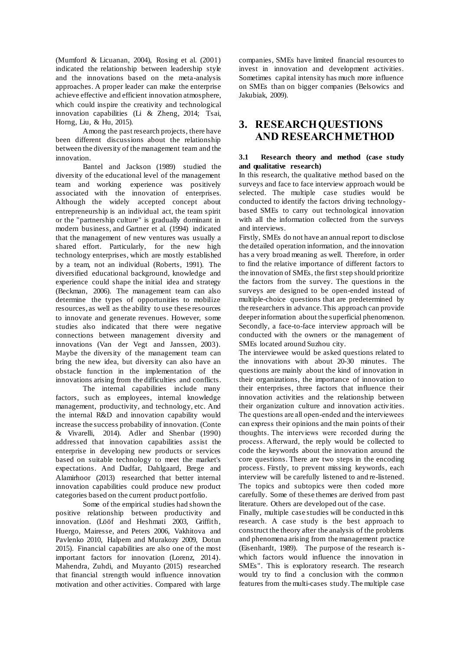(Mumford & Licuanan, 2004), Rosing et al. (2001) indicated the relationship between leadership style and the innovations based on the meta-analysis approaches. A proper leader can make the enterprise achieve effective and efficient innovation atmosphere, which could inspire the creativity and technological innovation capabilities (Li & Zheng, 2014; Tsai, Horng, Liu, & Hu, 2015).

Among the past research projects, there have been different discussions about the relationship between the diversity of the management team and the innovation.

Bantel and Jackson (1989) studied the diversity of the educational level of the management team and working experience was positively associated with the innovation of enterprises. Although the widely accepted concept about entrepreneurship is an individual act, the team spirit or the "partnership culture" is gradually dominant in modern business, and Gartner et al. (1994) indicated that the management of new ventures was usually a shared effort. Particularly, for the new high technology enterprises, which are mostly established by a team, not an individual (Roberts, 1991). The diversified educational background, knowledge and experience could shape the initial idea and strategy (Beckman, 2006). The management team can also determine the types of opportunities to mobilize resources, as well as the ability to use these resources to innovate and generate revenues. However, some studies also indicated that there were negative connections between management diversity and innovations (Van der Vegt and Janssen, 2003). Maybe the diversity of the management team can bring the new idea, but diversity can also have an obstacle function in the implementation of the innovations arising from the difficulties and conflicts.

The internal capabilities include many factors, such as employees, internal knowledge management, productivity, and technology, etc. And the internal R&D and innovation capability would increase the success probability of innovation. (Conte & Vivarelli, 2014). Adler and Shenbar (1990) addressed that innovation capabilities assist the enterprise in developing new products or services based on suitable technology to meet the market's expectations. And Dadfar, Dahlgaard, Brege and Alamirhoor (2013) researched that better internal innovation capabilities could produce new product categories based on the current product portfolio.

Some of the empirical studies had shown the positive relationship between productivity and innovation. (Lööf and Heshmati 2003, Griffith, Huergo, Mairesse, and Peters 2006, Vakhitova and Pavlenko 2010, Halpem and Murakozy 2009, Dotun 2015). Financial capabilities are also one of the most important factors for innovation (Lorenz, 2014). Mahendra, Zuhdi, and Muyanto (2015) researched that financial strength would influence innovation motivation and other activities. Compared with large

companies, SMEs have limited financial resources to invest in innovation and development activities. Sometimes capital intensity has much more influence on SMEs than on bigger companies (Belsowics and Jakubiak, 2009).

## **3. RESEARCH QUESTIONS AND RESEARCH METHOD**

#### **3.1 Research theory and method (case study and qualitative research)**

In this research, the qualitative method based on the surveys and face to face interview approach would be selected. The multiple case studies would be conducted to identify the factors driving technologybased SMEs to carry out technological innovation with all the information collected from the surveys and interviews.

Firstly, SMEs do not have an annual report to disclose the detailed operation information, and the innovation has a very broad meaning as well. Therefore, in order to find the relative importance of different factors to the innovation of SMEs, the first step should prioritize the factors from the survey. The questions in the surveys are designed to be open-ended instead of multiple-choice questions that are predetermined by the researchers in advance. This approach can provide deeper information about the superficial phenomenon. Secondly, a face-to-face interview approach will be conducted with the owners or the management of SMEs located around Suzhou city.

The interviewee would be asked questions related to the innovations with about 20-30 minutes. The questions are mainly about the kind of innovation in their organizations, the importance of innovation to their enterprises, three factors that influence their innovation activities and the relationship between their organization culture and innovation activities. The questions are all open-ended and the interviewees can express their opinions and the main points of their thoughts. The interviews were recorded during the process. Afterward, the reply would be collected to code the keywords about the innovation around the core questions. There are two steps in the encoding process. Firstly, to prevent missing keywords, each interview will be carefully listened to and re-listened. The topics and subtopics were then coded more carefully. Some of these themes are derived from past literature. Others are developed out of the case.

Finally, multiple case studies will be conducted in this research. A case study is the best approach to construct the theory after the analysis of the problems and phenomena arising from the management practice (Eisenhardt, 1989). The purpose of the research iswhich factors would influence the innovation in SMEs". This is exploratory research. The research would try to find a conclusion with the common features from the multi-cases study. The multiple case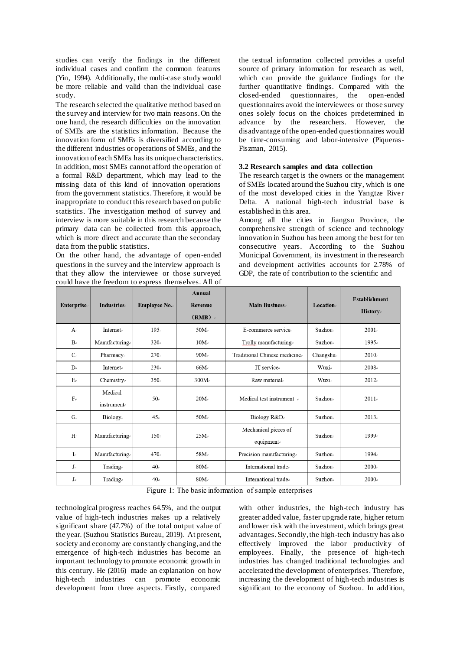studies can verify the findings in the different individual cases and confirm the common features (Yin, 1994). Additionally, the multi-case study would be more reliable and valid than the individual case study.

The research selected the qualitative method based on the survey and interview for two main reasons. On the one hand, the research difficulties on the innovation of SMEs are the statistics information. Because the innovation form of SMEs is diversified according to the different industries or operations of SMEs, and the innovation of each SMEs has its unique characteristics. In addition, most SMEs cannot afford the operation of a formal R&D department, which may lead to the missing data of this kind of innovation operations from the government statistics. Therefore, it would be inappropriate to conduct this research based on public statistics. The investigation method of survey and interview is more suitable in this research because the primary data can be collected from this approach, which is more direct and accurate than the secondary data from the public statistics.

On the other hand, the advantage of open-ended questions in the survey and the interview approach is that they allow the interviewee or those surveyed could have the freedom to express themselves. All of

the textual information collected provides a useful source of primary information for research as well, which can provide the guidance findings for the further quantitative findings. Compared with the closed-ended questionnaires, the open-ended questionnaires avoid the interviewees or those survey ones solely focus on the choices predetermined in advance by the researchers. However, the advance by the researchers. However, disadvantage of the open-ended questionnaires would be time-consuming and labor-intensive (Piqueras-Fiszman, 2015).

#### **3.2 Research samples and data collection**

The research target is the owners or the management of SMEs located around the Suzhou city, which is one of the most developed cities in the Yangtze River Delta. A national high-tech industrial base is established in this area.

Among all the cities in Jiangsu Province, the comprehensive strength of science and technology innovation in Suzhou has been among the best for ten consecutive years. According to the Suzhou Municipal Government, its investment in the research and development activities accounts for 2.78% of GDP, the rate of contribution to the scientific and

| Enterprise     | <b>Industries</b>         | Employee No. | Annual<br>Revenue<br>$(RMB)$ . | <b>Main Business</b>              | Location | <b>Establishment</b><br><b>History</b> |
|----------------|---------------------------|--------------|--------------------------------|-----------------------------------|----------|----------------------------------------|
| $A_{\epsilon}$ | Internet                  | 195e         | $50M_{\odot}$                  | E-commerce service                | Suzhou-  | $2001 -$                               |
| $B_e$          | Manufacturing             | 320.         | $10M_{\odot}$                  | Trolly manufacturing.             | Suzhou.  | 1995.                                  |
| $C_{e}$        | Pharmacy                  | 270.         | $90M_{\odot}$                  | Traditional Chinese medicine.     | Changshu | 2010                                   |
| $\mathbf{D}$   | <b>Internet</b>           | 230e         | $66M_{\odot}$                  | IT service.                       | Wuxi-    | $2008 -$                               |
| $E_e$          | Chemistry                 | $350\degree$ | $300M_{\odot}$                 | Raw material.                     | Wuxi-    | 2012e                                  |
| $F_e$          | Medical<br>instrument     | $50-$        | $20M_{\odot}$                  | Medical test instrument e         | Suzhou-  | 2011.                                  |
| $G_e$          | <b>Biology</b>            | $45\degree$  | $50M_{\odot}$                  | Biology R&D                       | Suzhou-  | 2013e                                  |
| $H_{\rm e}$    | Manufacturing.            | $150\degree$ | $25M_{\odot}$                  | Mechanical pieces of<br>equipment | Suzhou-  | 1999.                                  |
| $\mathbf{L}$   | Manufacturing.            | 470.         | $58M_{\odot}$                  | Precision manufacturing.          | Suzhou-  | 1994.                                  |
| $J_{\nu}$      | Trading.                  | $40-$        | $80M_{\odot}$                  | International trade.              | Suzhou-  | $2000 -$                               |
| $J_{\nu}$      | $\text{Trading}_{\sigma}$ | $40\degree$  | $80M_{\odot}$                  | International trade.              | Suzhou-  | 2000.                                  |

Figure 1: The basic information of sample enterprises

technological progress reaches 64.5%, and the output value of high-tech industries makes up a relatively significant share (47.7%) of the total output value of the year. (Suzhou Statistics Bureau, 2019). At present, society and economy are constantly changing, and the emergence of high-tech industries has become an important technology to promote economic growth in this century. He (2016) made an explanation on how high-tech industries can promote economic development from three aspects. Firstly, compared

with other industries, the high-tech industry has greater added value, faster upgrade rate, higher return and lower risk with the investment, which brings great advantages. Secondly, the high-tech industry has also effectively improved the labor productivity of employees. Finally, the presence of high-tech industries has changed traditional technologies and accelerated the development of enterprises. Therefore, increasing the development of high-tech industries is significant to the economy of Suzhou. In addition,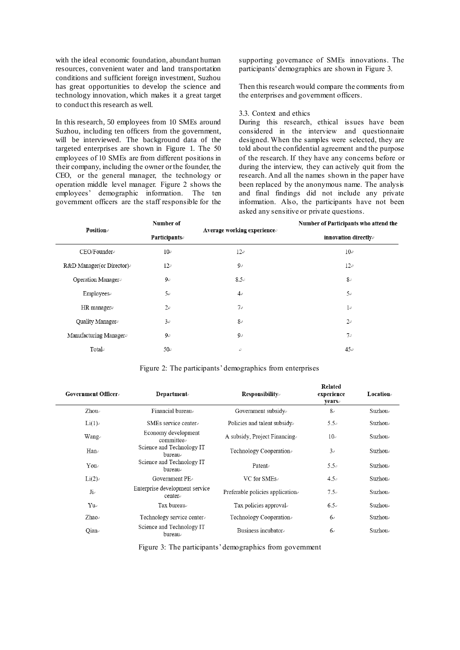with the ideal economic foundation, abundant human resources, convenient water and land transportation conditions and sufficient foreign investment, Suzhou has great opportunities to develop the science and technology innovation, which makes it a great target to conduct this research as well.

In this research, 50 employees from 10 SMEs around Suzhou, including ten officers from the government, will be interviewed. The background data of the targeted enterprises are shown in Figure 1. The 50 employees of 10 SMEs are from different positions in their company, including the owner or the founder, the CEO, or the general manager, the technology or operation middle level manager. Figure 2 shows the employees' demographic information. The ten government officers are the staff responsible for the supporting governance of SMEs innovations. The participants' demographics are shown in Figure 3.

Then this research would compare the comments from the enterprises and government officers.

#### 3.3. Context and ethics

During this research, ethical issues have been considered in the interview and questionnaire designed. When the samples were selected, they are told about the confidential agreement and the purpose of the research. If they have any concerns before or during the interview, they can actively quit from the research. And all the names shown in the paper have been replaced by the anonymous name. The analysis and final findings did not include any private information. Also, the participants have not been asked any sensitive or private questions.

 $\mathbf{D}$ -lated

| <b>Position</b>          | Number of           |                            | Number of Participants who attend the<br>innovation directly. |  |
|--------------------------|---------------------|----------------------------|---------------------------------------------------------------|--|
|                          | <b>Participants</b> | Average working experience |                                                               |  |
| CEO/Founder®             | $10\degree$         | 12e                        | 10e                                                           |  |
| R&D Manager(or Director) | 12e                 | $9\sigma$                  | 12e                                                           |  |
| Operation Manager        | $9\varphi$          | $8.5\degree$               | 8e                                                            |  |
| Employeese               | 5e                  | $4\sigma$                  | 5e                                                            |  |
| HR manager $\approx$     | 2e                  | 7e                         | $1\cdot$                                                      |  |
| Quality Manager          | 3e                  | 8e                         | 2e                                                            |  |
| Manufacturing Manager®   | 9e                  | $9\phi$                    | $7\varphi$                                                    |  |
| Total $\varphi$          | $50\degree$         | ₽                          | 45e                                                           |  |

| Figure 2: The participants' demographics from enterprises |  |
|-----------------------------------------------------------|--|
|                                                           |  |
|                                                           |  |
|                                                           |  |

| <b>Government Officer</b>             | <b>Department</b>                        | <b>Responsibility</b>            | кетате<br>experience<br><b>years</b> | <b>Location</b>     |
|---------------------------------------|------------------------------------------|----------------------------------|--------------------------------------|---------------------|
| $Zhou \in$                            | Financial bureau.                        | Government subsidy               | $8 -$                                | Suzhou $\circ$      |
| $Li(1)_{\nu}$                         | SMEs service center-                     | Policies and talent subsidy.     | $5.5\degree$                         | Suzhou <sub>e</sub> |
| Wang√                                 | Economy development<br>committee.        | A subsidy, Project Financing.    | 10e                                  | Suzhou $\circ$      |
| $\text{Han}_{\scriptscriptstyle\ell}$ | Science and Technology IT<br>bureau      | Technology Cooperation.          | 3e                                   | Suzhou.             |
| Youe                                  | Science and Technology IT<br>bureaue     | Patent                           | $5.5\circ$                           | Suzhou.             |
| Li(2)                                 | Government $PE_e$                        | VC for SMEs $\circ$              | $4.5\circ$                           | Suzhou <sub>e</sub> |
| Ji                                    | Enterprise development service<br>center | Preferable policies application. | $7.5\sigma$                          | Suzhou <sub>e</sub> |
| $Yu^{\circ}$                          | Tax bureau                               | Tax policies approvale           | $6.5\sigma$                          | Suzhou.             |
| Zhao $\circ$                          | Technology service center-               | Technology Cooperation           | $6\degree$                           | Suzhou $\circ$      |
| $Qian_{\epsilon}$                     | Science and Technology IT<br>bureau      | Business incubator.              | $6\degree$                           | Suzhou.             |

Figure 3: The participants' demographics from government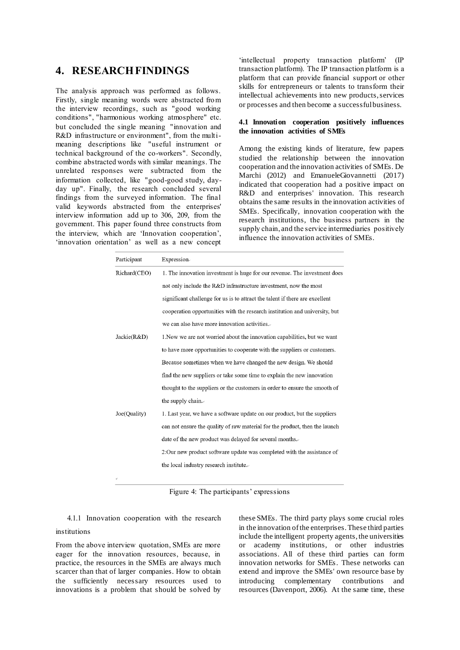## **4. RESEARCH FINDINGS**

The analysis approach was performed as follows. Firstly, single meaning words were abstracted from the interview recordings, such as "good working conditions", "harmonious working atmosphere" etc. but concluded the single meaning "innovation and R&D infrastructure or environment", from the multimeaning descriptions like "useful instrument or technical background of the co-workers". Secondly, combine abstracted words with similar meanings. The unrelated responses were subtracted from the information collected, like "good-good study, dayday up". Finally, the research concluded several findings from the surveyed information. The final valid keywords abstracted from the enterprises' interview information add up to 306, 209, from the government. This paper found three constructs from the interview, which are 'Innovation cooperation', 'innovation orientation' as well as a new concept

'intellectual property transaction platform' (IP transaction platform). The IP transaction platform is a platform that can provide financial support or other skills for entrepreneurs or talents to transform their intellectual achievements into new products, services or processes and then become a successful business.

#### **4.1 Innovation cooperation positively influences the innovation activities of SMEs**

Among the existing kinds of literature, few papers studied the relationship between the innovation cooperation and the innovation activities of SMEs. De Marchi (2012) and EmanueleGiovannetti (2017) indicated that cooperation had a positive impact on R&D and enterprises' innovation. This research obtains the same results in the innovation activities of SMEs. Specifically, innovation cooperation with the research institutions, the business partners in the supply chain, and the service intermediaries positively influence the innovation activities of SMEs.

| Participant  | Expression-                                                                  |  |  |
|--------------|------------------------------------------------------------------------------|--|--|
| Richard(CEO) | 1. The innovation investment is huge for our revenue. The investment does    |  |  |
|              | not only include the R&D infrastructure investment, now the most             |  |  |
|              | significant challenge for us is to attract the talent if there are excellent |  |  |
|              | cooperation opportunities with the research institution and university, but  |  |  |
|              | we can also have more innovation activities.                                 |  |  |
| Jackie(R&D)  | 1. Now we are not worried about the innovation capabilities, but we want     |  |  |
|              | to have more opportunities to cooperate with the suppliers or customers.     |  |  |
|              | Because sometimes when we have changed the new design. We should             |  |  |
|              | find the new suppliers or take some time to explain the new innovation       |  |  |
|              | thought to the suppliers or the customers in order to ensure the smooth of   |  |  |
|              | the supply chain.                                                            |  |  |
| Joe(Quality) | 1. Last year, we have a software update on our product, but the suppliers    |  |  |
|              | can not ensure the quality of raw material for the product, then the launch  |  |  |
|              | date of the new product was delayed for several months.                      |  |  |
|              | 2: Our new product software update was completed with the assistance of      |  |  |
|              | the local industry research institute.                                       |  |  |
|              |                                                                              |  |  |

Figure 4: The participants' expressions

4.1.1 Innovation cooperation with the research institutions

From the above interview quotation, SMEs are more eager for the innovation resources, because, in practice, the resources in the SMEs are always much scarcer than that of larger companies. How to obtain the sufficiently necessary resources used to innovations is a problem that should be solved by these SMEs. The third party plays some crucial roles in the innovation of the enterprises. These third parties include the intelligent property agents, the universities or academy institutions, or other industries associations. All of these third parties can form innovation networks for SMEs. These networks can extend and improve the SMEs' own resource base by introducing complementary contributions and resources (Davenport, 2006). At the same time, these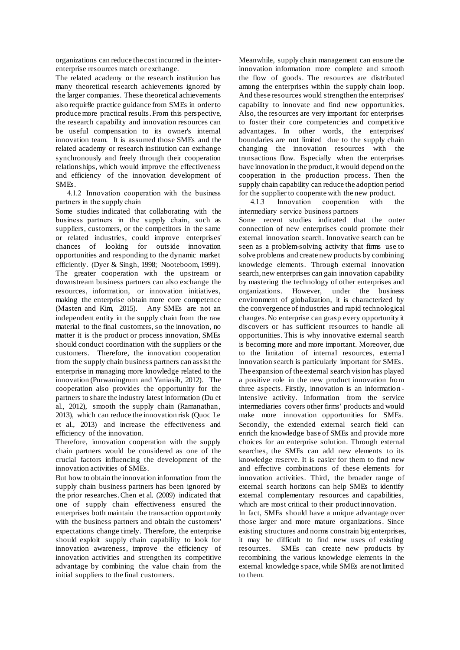organizations can reduce the cost incurred in the interenterprise resources match or exchange.

The related academy or the research institution has many theoretical research achievements ignored by the larger companies. These theoretical achievements also requir8e practice guidance from SMEs in order to produce more practical results. From this perspective, the research capability and innovation resources can be useful compensation to its owner's internal innovation team. It is assumed those SMEs and the related academy or research institution can exchange synchronously and freely through their cooperation relationships, which would improve the effectiveness and efficiency of the innovation development of SMEs.

4.1.2 Innovation cooperation with the business partners in the supply chain

Some studies indicated that collaborating with the business partners in the supply chain, such as suppliers, customers, or the competitors in the same or related industries, could improve enterpris es' chances of looking for outside innovation opportunities and responding to the dynamic market efficiently. (Dyer & Singh, 1998; Nooteboom, 1999). The greater cooperation with the upstream or downstream business partners can also exchange the resources, information, or innovation initiatives, making the enterprise obtain more core competence (Masten and Kim, 2015). Any SMEs are not an independent entity in the supply chain from the raw material to the final customers, so the innovation, no matter it is the product or process innovation, SMEs should conduct coordination with the suppliers or the customers. Therefore, the innovation cooperation from the supply chain business partners can assist the enterprise in managing more knowledge related to the innovation (Purwaningrum and Yaniasih, 2012). The cooperation also provides the opportunity for the partners to share the industry latest information (Du et al., 2012), smooth the supply chain (Ramanathan, 2013), which can reduce the innovation risk (Quoc Le et al., 2013) and increase the effectiveness and efficiency of the innovation.

Therefore, innovation cooperation with the supply chain partners would be considered as one of the crucial factors influencing the development of the innovation activities of SMEs.

But how to obtain the innovation information from the supply chain business partners has been ignored by the prior researches. Chen et al. (2009) indicated that one of supply chain effectiveness ensured the enterprises both maintain the transaction opportunity with the business partners and obtain the customers' expectations change timely. Therefore, the enterprise should exploit supply chain capability to look for innovation awareness, improve the efficiency of innovation activities and strengthen its competitive advantage by combining the value chain from the initial suppliers to the final customers.

Meanwhile, supply chain management can ensure the innovation information more complete and smooth the flow of goods. The resources are distributed among the enterprises within the supply chain loop. And these resources would strengthen the enterprises' capability to innovate and find new opportunities. Also, the resources are very important for enterprises to foster their core competencies and competitive advantages. In other words, the enterprises' boundaries are not limited due to the supply chain changing the innovation resources with the transactions flow. Especially when the enterprises have innovation in the product, it would depend on the cooperation in the production process. Then the supply chain capability can reduce the adoption period for the supplier to cooperate with the new product.

4.1.3 Innovation cooperation with the intermediary service business partners Some recent studies indicated that the outer connection of new enterprises could promote their external innovation search. Innovative search can be seen as a problem-solving activity that firms use to solve problems and create new products by combining knowledge elements. Through external innovation search, new enterprises can gain innovation capability by mastering the technology of other enterprises and organizations. However, under the business environment of globalization, it is characterized by the convergence of industries and rapid technological changes. No enterprise can grasp every opportunity it discovers or has sufficient resources to handle all opportunities. This is why innovative external search is becoming more and more important. Moreover, due to the limitation of internal resources, external innovation search is particularly important for SMEs. The expansion of the external search vision has played a positive role in the new product innovation from three aspects. Firstly, innovation is an information intensive activity. Information from the service intermediaries covers other firms' products and would make more innovation opportunities for SMEs. Secondly, the extended external search field can enrich the knowledge base of SMEs and provide more choices for an enterprise solution. Through external searches, the SMEs can add new elements to its knowledge reserve. It is easier for them to find new and effective combinations of these elements for innovation activities. Third, the broader range of external search horizons can help SMEs to identify external complementary resources and capabilities, which are most critical to their product innovation.

In fact, SMEs should have a unique advantage over those larger and more mature organizations. Since existing structures and norms constrain big enterprises, it may be difficult to find new uses of existing resources. SMEs can create new products by recombining the various knowledge elements in the external knowledge space, while SMEs are not limited to them.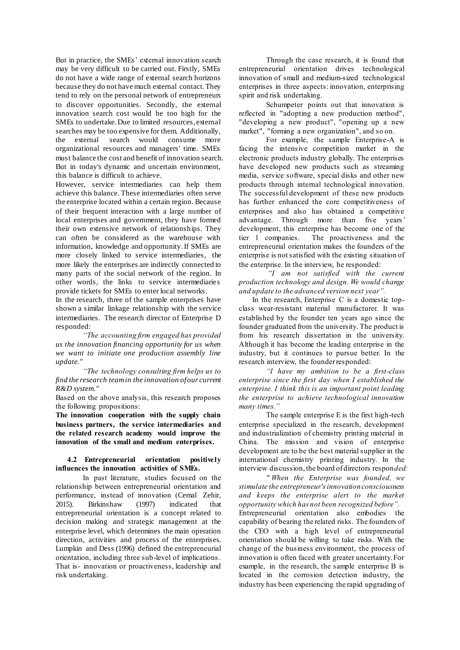But in practice, the SMEs' external innovation search may be very difficult to be carried out. Firstly, SMEs do not have a wide range of external search horizons because they do not have much external contact. They tend to rely on the personal network of entrepreneurs to discover opportunities. Secondly, the external innovation search cost would be too high for the SMEs to undertake. Due to limited resources, external searches may be too expensive for them. Additionally, the external search would consume more organizational resources and managers' time. SMEs must balance the cost and benefit of innovation search. But in today's dynamic and uncertain environment, this balance is difficult to achieve.

However, service intermediaries can help them achieve this balance. These intermediaries often serve the enterprise located within a certain region. Because of their frequent interaction with a large number of local enterprises and government, they have formed their own extensive network of relationships. They can often be considered as the warehouse with information, knowledge and opportunity. If SMEs are more closely linked to service intermediaries, the more likely the enterprises are indirectly connected to many parts of the social network of the region. In other words, the links to service intermediaries provide tickets for SMEs to enter local networks.

In the research, three of the sample enterprises have shown a similar linkage relationship with the service intermediaries. The research director of Enterprise D responded:

*"The accounting firm engaged has provided us the innovation financing opportunity for us when we want to initiate one production assembly line update."*

*"The technology consulting firm helps us to find the research team in the innovation of our current R&D system."*

Based on the above analysis, this research proposes the following propositions:

**The innovation cooperation with the supply chain business partners, the service intermediaries and the related research academy would improve the innovation of the small and medium enterprises.** 

#### **4.2 Entrepreneurial orientation positively influences the innovation activities of SMEs.**

In past literature, studies focused on the relationship between entrepreneurial orientation and performance, instead of innovation (Cemal Zehir, 2015). Birkinshaw (1997) indicated that entrepreneurial orientation is a concept related to decision making and strategic management at the enterprise level, which determines the main operation direction, activities and process of the enterprises. Lumpkin and Dess (1996) defined the entrepreneurial orientation, including three sub-level of implications . That is- innovation or proactiveness, leadership and risk undertaking.

Through the case research, it is found that entrepreneurial orientation drives technological innovation of small and medium-sized technological enterprises in three aspects: innovation, enterprising spirit and risk undertaking.

Schumpeter points out that innovation is reflected in "adopting a new production method", "developing a new product", "opening up a new market", "forming a new organization", and so on.

For example, the sample Enterprise-A is facing the intensive competition market in the electronic products industry globally. The enterprises have developed new products such as streaming media, service software, special disks and other new products through internal technological innovation. The successful development of these new products has further enhanced the core competitiveness of enterprises and also has obtained a competitive advantage. Through more than five years' development, this enterprise has become one of the tier 1 companies. The proactiveness and the entrepreneurial orientation makes the founders of the enterprise is not satisfied with the existing situation of the enterprise. In the interview, he responded:

*"I am not satisfied with the current production technology and design. We would change and update to the advanced version next year".*

In the research, Enterprise C is a domestic topclass wear-resistant material manufacturer. It was established by the founder ten years ago since the founder graduated from the university. The product is from his research dissertation in the university. Although it has become the leading enterprise in the industry, but it continues to pursue better. In the research interview, the founder responded:

*"I have my ambition to be a first-class enterprise since the first day when I established the enterprise. I think this is an important point leading the enterprise to achieve technological innovation many times."*

The sample enterprise E is the first high-tech enterprise specialized in the research, development and industrialization of chemistry printing material in China. The mission and vision of enterprise development are to be the best material supplier in the international chemistry printing industry. In the interview discussion, the board of directors respon*ded:*

*" When the Enterprise was founded, we stimulate the entrepreneur's innovation consciousness and keeps the enterprise alert to the market opportunity which has not been recognized before".*

Entrepreneurial orientation also embodies the capability of bearing the related risks. The founders of the CEO with a high level of entrepreneurial orientation should be willing to take risks. With the change of the business environment, the process of innovation is often faced with greater uncertainty. For example, in the research, the sample enterprise B is located in the corrosion detection industry, the industry has been experiencing the rapid upgrading of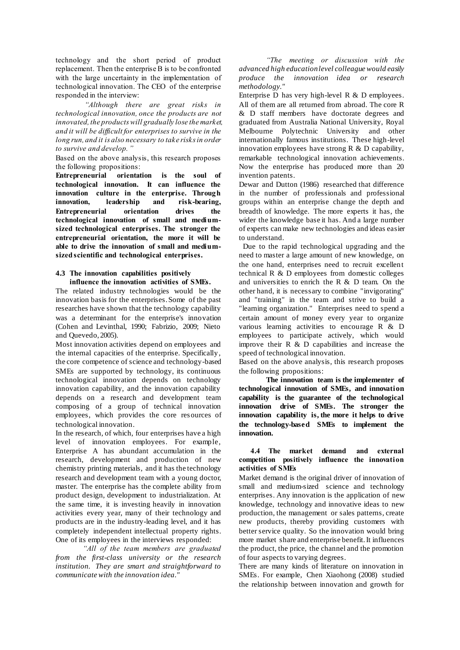technology and the short period of product replacement. Then the enterprise B is to be confronted with the large uncertainty in the implementation of technological innovation. The CEO of the enterprise responded in the interview:

*"Although there are great risks in technological innovation, once the products are not innovated, the products will gradually lose the market, and it will be difficult for enterprises to survive in the long run, and it is also necessary to take risks in order to survive and develop. "*

Based on the above analysis, this research proposes

the following propositions:<br> **Entrepreneurial** orientat **ENTER IS THE SOUL OF technological innovation. It can influence the innovation culture in the enterprise. Through innovation, leadership and risk-bearing, Entrepreneurial orientation drives the technological innovation of small and mediumsized technological enterprises. The stronger the entrepreneurial orientation, the more it will be able to drive the innovation of small and mediumsized scientific and technological enterprises.**

#### **4.3 The innovation capabilities positively influence the innovation activities of SMEs.**

The related industry technologies would be the innovation basis for the enterprises. Some of the past researches have shown that the technology capability was a determinant for the enterprise's innovation (Cohen and Levinthal, 1990; Fabrizio, 2009; Nieto and Quevedo, 2005).

Most innovation activities depend on employees and the internal capacities of the enterprise. Specifically, the core competence of science and technology-based SMEs are supported by technology, its continuous technological innovation depends on technology innovation capability, and the innovation capability depends on a research and development team composing of a group of technical innovation employees, which provides the core resources of technological innovation.

In the research, of which, four enterprises have a high level of innovation employees. For example, Enterprise A has abundant accumulation in the research, development and production of new chemistry printing materials, and it has the technology research and development team with a young doctor, master. The enterprise has the complete ability from product design, development to industrialization. At the same time, it is investing heavily in innovation activities every year, many of their technology and products are in the industry-leading level, and it has completely independent intellectual property rights. One of its employees in the interviews responded:

*"All of the team members are graduated from the first-class university or the research institution. They are smart and straightforward to communicate with the innovation idea."*

*"The meeting or discussion with the advanced high education level colleague would easily produce the innovation idea or research methodology."*

Enterprise D has very high-level R & D employees. All of them are all returned from abroad. The core R & D staff members have doctorate degrees and graduated from Australia National University, Royal Melbourne Polytechnic University and other internationally famous institutions. These high-level innovation employees have strong  $R \& D$  capability, remarkable technological innovation achievements. Now the enterprise has produced more than 20 invention patents.

Dewar and Dutton (1986) researched that difference in the number of professionals and professional groups within an enterprise change the depth and breadth of knowledge. The more experts it has, the wider the knowledge base it has. And a large number of experts can make new technologies and ideas easier to understand.

Due to the rapid technological upgrading and the need to master a large amount of new knowledge, on the one hand, enterprises need to recruit excellent technical R & D employees from domestic colleges and universities to enrich the R & D team. On the other hand, it is necessary to combine "invigorating" and "training" in the team and strive to build a "learning organization." Enterprises need to spend a certain amount of money every year to organize various learning activities to encourage R & D employees to participate actively, which would improve their R & D capabilities and increase the speed of technological innovation.

Based on the above analysis, this research proposes the following propositions:

**The innovation team is the implementer of technological innovation of SMEs, and innovation capability is the guarantee of the technological innovation drive of SMEs. The stronger the innovation capability is, the more it helps to drive the technology-based SMEs to implement the innovation.**

#### **4.4 The market demand and external competition positively influence the innovation activities of SMEs**

Market demand is the original driver of innovation of small and medium-sized science and technology enterprises. Any innovation is the application of new knowledge, technology and innovative ideas to new production, the management or sales patterns, create new products, thereby providing customers with better service quality. So the innovation would bring more market share and enterprise benefit. It influences the product, the price, the channel and the promotion of four aspects to varying degrees.

There are many kinds of literature on innovation in SMEs. For example, Chen Xiaohong (2008) studied the relationship between innovation and growth for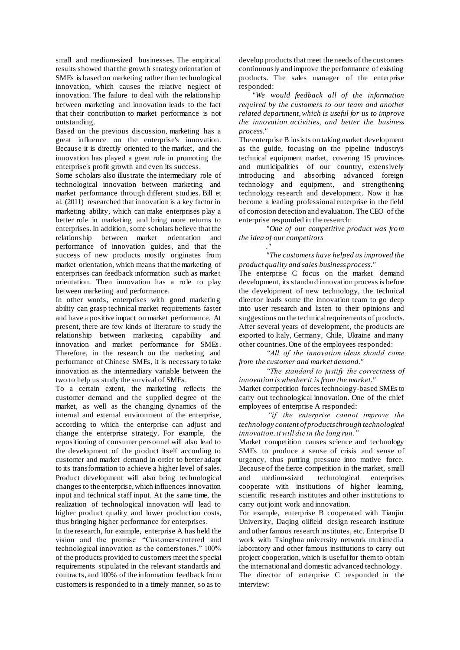small and medium-sized businesses. The empirical results showed that the growth strategy orientation of SMEs is based on marketing rather than technological innovation, which causes the relative neglect of innovation. The failure to deal with the relationship between marketing and innovation leads to the fact that their contribution to market performance is not outstanding.

Based on the previous discussion, marketing has a great influence on the enterprise's innovation. Because it is directly oriented to the market, and the innovation has played a great role in promoting the enterprise's profit growth and even its success.

Some scholars also illustrate the intermediary role of technological innovation between marketing and market performance through different studies. Bill et al. (2011) researched that innovation is a key factor in marketing ability, which can make enterprises play a better role in marketing and bring more returns to enterprises. In addition, some scholars believe that the relationship between market orientation and performance of innovation guides, and that the success of new products mostly originates from market orientation, which means that the marketing of enterprises can feedback information such as market orientation. Then innovation has a role to play between marketing and performance.

In other words, enterprises with good marketing ability can grasp technical market requirements faster and have a positive impact on market performance. At present, there are few kinds of literature to study the relationship between marketing capability and innovation and market performance for SMEs. Therefore, in the research on the marketing and performance of Chinese SMEs, it is necessary to take innovation as the intermediary variable between the two to help us study the survival of SMEs.

To a certain extent, the marketing reflects the customer demand and the supplied degree of the market, as well as the changing dynamics of the internal and external environment of the enterprise, according to which the enterprise can adjust and change the enterprise strategy. For example, the repositioning of consumer personnel will also lead to the development of the product itself according to customer and market demand in order to better adapt to its transformation to achieve a higher level of sales. Product development will also bring technological changes to the enterprise, which influences innovation input and technical staff input. At the same time, the realization of technological innovation will lead to higher product quality and lower production costs, thus bringing higher performance for enterprises.

In the research, for example, enterprise A has held the vision and the promise "Customer-centered and technological innovation as the cornerstones." 100% of the products provided to customers meet the special requirements stipulated in the relevant standards and contracts, and 100% of the information feedback from customers is responded to in a timely manner, so as to

develop products that meet the needs of the customers continuously and improve the performance of existing products. The sales manager of the enterprise responded:

*"We would feedback all of the information required by the customers to our team and another related department, which is useful for us to improve the innovation activities, and better the business process."*

The enterprise B insists on taking market development as the guide, focusing on the pipeline industry's technical equipment market, covering 15 provinces and municipalities of our country, extensively introducing and absorbing advanced foreign technology and equipment, and strengthening technology research and development. Now it has become a leading professional enterprise in the field of corrosion detection and evaluation. The CEO of the enterprise responded in the research:

*"One of our competitive product was from the idea of our competitors*

*." "The customers have helped us improved the product quality and sales business process."*

The enterprise C focus on the market demand development, its standard innovation process is before the development of new technology, the technical director leads some the innovation team to go deep into user research and listen to their opinions and suggestions on the technical requirements of products. After several years of development, the products are exported to Italy, Germany, Chile, Ukraine and many other countries. One of the employees responded:

*"All of the innovation ideas should come from the customer and market demand."*

*"The standard to justify the correctness of innovation is whether it is from the market."* Market competition forces technology-based SMEs to carry out technological innovation. One of the chief employees of enterprise A responded:

*"if the enterprise cannot improve the technology content of products through technological innovation, it will die in the long run."*

Market competition causes science and technology SMEs to produce a sense of crisis and sense of urgency, thus putting pressure into motive force. Because of the fierce competition in the market, small and medium-sized technological enterprises cooperate with institutions of higher learning, scientific research institutes and other institutions to carry out joint work and innovation.

For example, enterprise B cooperated with Tianjin University, Daqing oilfield design research institute and other famous research institutes, etc. Enterprise D work with Tsinghua university network multimedia laboratory and other famous institutions to carry out project cooperation, which is useful for them to obtain the international and domestic advanced technology. The director of enterprise C responded in the interview: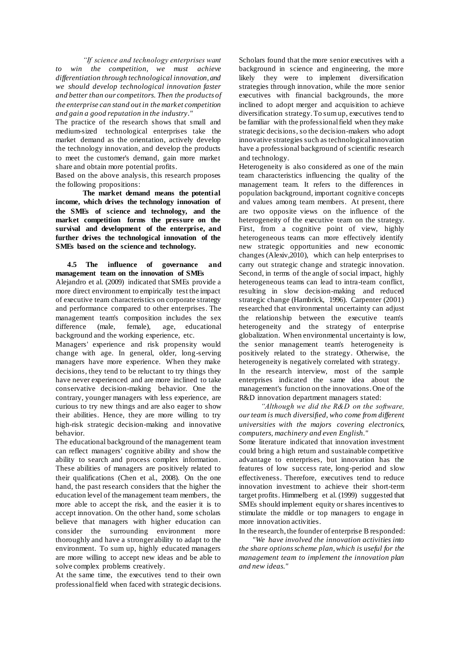*"If science and technology enterprises want to win the competition, we must achieve differentiation through technological innovation, and we should develop technological innovation faster and better than our competitors. Then the products of the enterprise can stand out in the market competition and gain a good reputation in the industry."*

The practice of the research shows that small and medium-sized technological enterprises take the market demand as the orientation, actively develop the technology innovation, and develop the products to meet the customer's demand, gain more market share and obtain more potential profits.

Based on the above analysis, this research proposes the following propositions:

**The market demand means the potential income, which drives the technology innovation of the SMEs of science and technology, and the market competition forms the pressure on the survival and development of the enterprise, and further drives the technological innovation of the SMEs based on the science and technology.**

#### **4.5 The influence of governance and management team on the innovation of SMEs**

Alejandro et al. (2009) indicated that SMEs provide a more direct environment to empirically test the impact of executive team characteristics on corporate strategy and performance compared to other enterprises. The management team's composition includes the sex difference (male, female), age, educational background and the working experience, etc.

Managers' experience and risk propensity would change with age. In general, older, long-serving managers have more experience. When they make decisions, they tend to be reluctant to try things they have never experienced and are more inclined to take conservative decision-making behavior. One the contrary, younger managers with less experience, are curious to try new things and are also eager to show their abilities. Hence, they are more willing to try high-risk strategic decision-making and innovative behavior.

The educational background of the management team can reflect managers' cognitive ability and show the ability to search and process complex information. These abilities of managers are positively related to their qualifications (Chen et al., 2008). On the one hand, the past research considers that the higher the education level of the management team members, the more able to accept the risk, and the easier it is to accept innovation. On the other hand, some scholars believe that managers with higher education can consider the surrounding environment more thoroughly and have a stronger ability to adapt to the environment. To sum up, highly educated managers are more willing to accept new ideas and be able to solve complex problems creatively.

At the same time, the executives tend to their own professional field when faced with strategic decisions.

Scholars found that the more senior executives with a background in science and engineering, the more likely they were to implement diversification strategies through innovation, while the more senior executives with financial backgrounds, the more inclined to adopt merger and acquisition to achieve diversification strategy. To sum up, executives tend to be familiar with the professional field when they make strategic decisions, so the decision-makers who adopt innovative strategies such as technological innovation have a professional background of scientific research and technology.

Heterogeneity is also considered as one of the main team characteristics influencing the quality of the management team. It refers to the differences in population background, important cognitive concepts and values among team members. At present, there are two opposite views on the influence of the heterogeneity of the executive team on the strategy. First, from a cognitive point of view, highly heterogeneous teams can more effectively identify new strategic opportunities and new economic changes (Alexiv,2010), which can help enterprises to carry out strategic change and strategic innovation. Second, in terms of the angle of social impact, highly heterogeneous teams can lead to intra-team conflict, resulting in slow decision-making and reduced strategic change (Hambrick, 1996). Carpenter (2001) researched that environmental uncertainty can adjust the relationship between the executive team's heterogeneity and the strategy of enterprise globalization. When environmental uncertainty is low, the senior management team's heterogeneity is positively related to the strategy. Otherwise, the heterogeneity is negatively correlated with strategy. In the research interview, most of the sample enterprises indicated the same idea about the management's function on the innovations. One of the R&D innovation department managers stated:

*"Although we did the R&D on the software, our team is much diversified, who come from different universities with the majors covering electronics, computers, machinery and even English."*

Some literature indicated that innovation investment could bring a high return and sustainable competitive advantage to enterprises, but innovation has the features of low success rate, long-period and slow effectiveness. Therefore, executives tend to reduce innovation investment to achieve their short-term target profits. Himmelberg et al. (1999) suggested that SMEs should implement equity or shares incentives to stimulate the middle or top managers to engage in more innovation activities.

In the research, the founder of enterprise B responded:

*"We have involved the innovation activities into the share options scheme plan, which is useful for the management team to implement the innovation plan and new ideas."*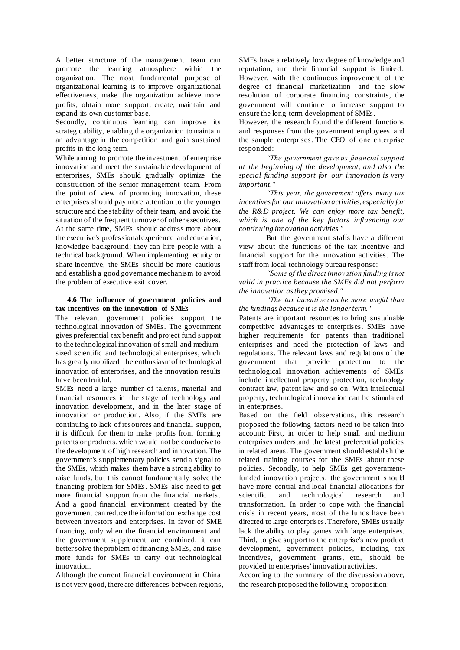A better structure of the management team can promote the learning atmosphere within the organization. The most fundamental purpose of organizational learning is to improve organizational effectiveness, make the organization achieve more profits, obtain more support, create, maintain and expand its own customer base.

Secondly, continuous learning can improve its strategic ability, enabling the organization to maintain an advantage in the competition and gain sustained profits in the long term.

While aiming to promote the investment of enterprise innovation and meet the sustainable development of enterprises, SMEs should gradually optimize the construction of the senior management team. From the point of view of promoting innovation, these enterprises should pay more attention to the younger structure and the stability of their team, and avoid the situation of the frequent turnover of other executives. At the same time, SMEs should address more about the executive's professional experience and education, knowledge background; they can hire people with a technical background. When implementing equity or share incentive, the SMEs should be more cautious and establish a good governance mechanism to avoid the problem of executive exit cover.

#### **4.6 The influence of government policies and tax incentives on the innovation of SMEs**

The relevant government policies support the technological innovation of SMEs. The government gives preferential tax benefit and project fund support to the technological innovation of small and mediumsized scientific and technological enterprises, which has greatly mobilized the enthusiasm of technological innovation of enterprises, and the innovation results have been fruitful.

SMEs need a large number of talents, material and financial resources in the stage of technology and innovation development, and in the later stage of innovation or production. Also, if the SMEs are continuing to lack of resources and financial support, it is difficult for them to make profits from forming patents or products, which would not be conducive to the development of high research and innovation. The government's supplementary policies send a signal to the SMEs, which makes them have a strong ability to raise funds, but this cannot fundamentally solve the financing problem for SMEs. SMEs also need to get more financial support from the financial markets . And a good financial environment created by the government can reduce the information exchange cost between investors and enterprises. In favor of SME financing, only when the financial environment and the government supplement are combined, it can better solve the problem of financing SMEs, and raise more funds for SMEs to carry out technological innovation.

Although the current financial environment in China is not very good, there are differences between regions, SMEs have a relatively low degree of knowledge and reputation, and their financial support is limited. However, with the continuous improvement of the degree of financial marketization and the slow resolution of corporate financing constraints, the government will continue to increase support to ensure the long-term development of SMEs.

However, the research found the different functions and responses from the government employees and the sample enterprises. The CEO of one enterprise responded:

*"The government gave us financial support at the beginning of the development, and also the special funding support for our innovation is very important."*

*"This year, the government offers many tax incentives for our innovation activities, especially for the R&D project. We can enjoy more tax benefit, which is one of the key factors influencing our continuing innovation activities."*

But the government staffs have a different view about the functions of the tax incentive and financial support for the innovation activities. The staff from local technology bureau response:

*"Some of the direct innovation funding is not valid in practice because the SMEs did not perform the innovation as they promised."*

*"The tax incentive can be more useful than the fundings because it is the longer term."*

Patents are important resources to bring sustainable competitive advantages to enterprises. SMEs have higher requirements for patents than traditional enterprises and need the protection of laws and regulations. The relevant laws and regulations of the government that provide protection to the technological innovation achievements of SMEs include intellectual property protection, technology contract law, patent law and so on. With intellectual property, technological innovation can be stimulated in enterprises.

Based on the field observations, this research proposed the following factors need to be taken into account: First, in order to help small and medium enterprises understand the latest preferential policies in related areas. The government should establish the related training courses for the SMEs about these policies. Secondly, to help SMEs get governmentfunded innovation projects, the government should have more central and local financial allocations for scientific and technological research and transformation. In order to cope with the financial crisis in recent years, most of the funds have been directed to large enterprises. Therefore, SMEs usually lack the ability to play games with large enterprises. Third, to give support to the enterprise's new product development, government policies, including tax incentives, government grants, etc., should be provided to enterprises' innovation activities.

According to the summary of the discussion above, the research proposed the following proposition: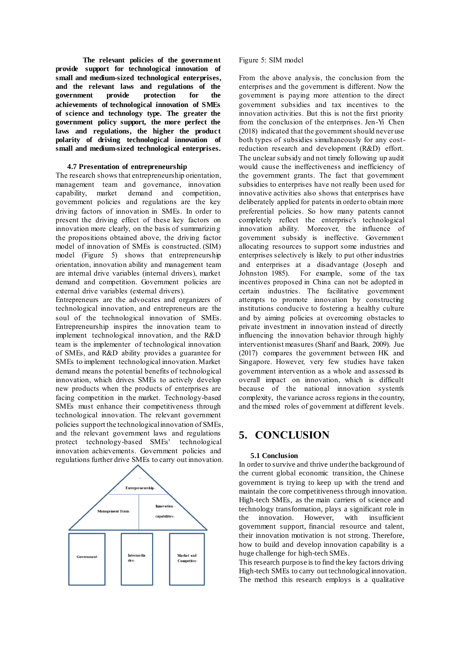**The relevant policies of the government provide support for technological innovation of small and medium-sized technological enterprises, and the relevant laws and regulations of the government provide protection for the achievements of technological innovation of SMEs of science and technology type. The greater the government policy support, the more perfect the laws and regulations, the higher the product polarity of driving technological innovation of small and medium-sized technological enterprises.**

#### **4.7 Presentation of entrepreneurship**

The research shows that entrepreneurship orientation, management team and governance, innovation capability, market demand and competition, government policies and regulations are the key driving factors of innovation in SMEs. In order to present the driving effect of these key factors on innovation more clearly, on the basis of summarizing the propositions obtained above, the driving factor model of innovation of SMEs is constructed. (SIM) model (Figure 5) shows that entrepreneurship orientation, innovation ability and management team are internal drive variables (internal drivers), market demand and competition. Government policies are external drive variables (external drivers).

Entrepreneurs are the advocates and organizers of technological innovation, and entrepreneurs are the soul of the technological innovation of SMEs. Entrepreneurship inspires the innovation team to implement technological innovation, and the R&D team is the implementer of technological innovation of SMEs, and R&D ability provides a guarantee for SMEs to implement technological innovation. Market demand means the potential benefits of technological innovation, which drives SMEs to actively develop new products when the products of enterprises are facing competition in the market. Technology-based SMEs must enhance their competitiveness through technological innovation. The relevant government policies support the technological innovation of SMEs, and the relevant government laws and regulations protect technology-based SMEs' technological innovation achievements. Government policies and regulations further drive SMEs to carry out innovation.



#### Figure 5: SIM model

From the above analysis, the conclusion from the enterprises and the government is different. Now the government is paying more attention to the direct government subsidies and tax incentives to the innovation activities. But this is not the first priority from the conclusion of the enterprises. Jen-Yi Chen (2018) indicated that the government should never use both types of subsidies simultaneously for any costreduction research and development (R&D) effort. The unclear subsidy and not timely following up audit would cause the ineffectiveness and inefficiency of the government grants. The fact that government subsidies to enterprises have not really been used for innovative activities also shows that enterprises have deliberately applied for patents in order to obtain more preferential policies. So how many patents cannot completely reflect the enterprise's technological innovation ability. Moreover, the influence of government subsidy is ineffective. Government allocating resources to support some industries and enterprises selectively is likely to put other industries and enterprises at a disadvantage (Joseph and Johnston 1985). For example, some of the tax incentives proposed in China can not be adopted in certain industries. The facilitative government attempts to promote innovation by constructing institutions conducive to fostering a healthy culture and by aiming policies at overcoming obstacles to private investment in innovation instead of directly influencing the innovation behavior through highly interventionist measures (Sharif and Baark, 2009). Jue (2017) compares the government between HK and Singapore. However, very few studies have taken government intervention as a whole and assessed its overall impact on innovation, which is difficult because of the national innovation system's complexity, the variance across regions in the country, and the mixed roles of government at different levels.

## **5. CONCLUSION**

#### **5.1 Conclusion**

In order to survive and thrive under the background of the current global economic transition, the Chinese government is trying to keep up with the trend and maintain the core competitiveness through innovation. High-tech SMEs, as the main carriers of science and technology transformation, plays a significant role in the innovation. However, with insufficient government support, financial resource and talent, their innovation motivation is not strong. Therefore, how to build and develop innovation capability is a huge challenge for high-tech SMEs.

This research purpose is to find the key factors driving High-tech SMEs to carry out technological innovation. The method this research employs is a qualitative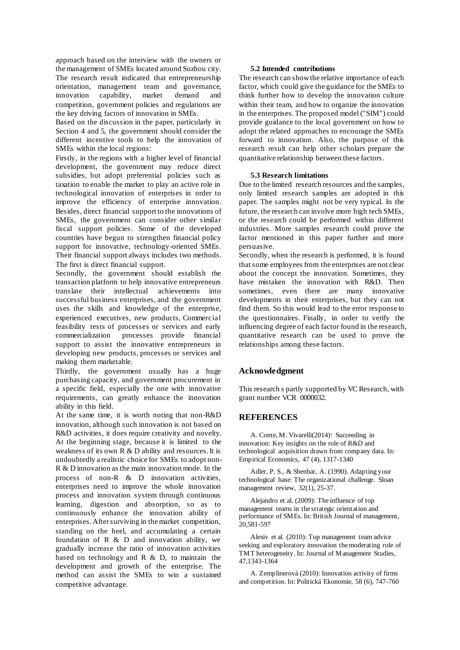approach based on the interview with the owners or the management of SMEs located around Suzhou city. The research result indicated that entrepreneurship orientation, management team and governance, innovation capability, market demand and competition, government policies and regulations are the key driving factors of innovation in SMEs.

Based on the discussion in the paper, particularly in Section 4 and 5, the government should consider the different incentive tools to help the innovation of SMEs within the local regions:

Firstly, in the regions with a higher level of financial development, the government may reduce direct subsidies, but adopt preferential policies such as taxation to enable the market to play an active role in technological innovation of enterprises in order to improve the efficiency of enterprise innovation. Besides, direct financial support to the innovations of SMEs, the government can consider other similar fiscal support policies. Some of the developed countries have begun to strengthen financial policy support for innovative, technology-oriented SMEs. Their financial support always includes two methods. The first is direct financial support.

Secondly, the government should establish the transaction platform to help innovative entrepreneurs translate their intellectual achievements into successful business enterprises, and the government uses the skills and knowledge of the enterprise, experienced executives, new products, Commercial feasibility tests of processes or services and early commercialization processes provide financial support to assist the innovative entrepreneurs in developing new products, processes or services and making them marketable.

Thirdly, the government usually has a huge purchasing capacity, and government procurement in a specific field, especially the one with innovative requirements, can greatly enhance the innovation ability in this field.

At the same time, it is worth noting that non-R&D innovation, although such innovation is not based on R&D activities, it does require creativity and novelty. At the beginning stage, because it is limited to the weakness of its own R & D ability and resources. It is undoubtedly a realistic choice for SMEs to adopt non-R & D innovation as the main innovation mode. In the process of non-R & D innovation activities, enterprises need to improve the whole innovation process and innovation system through continuous learning, digestion and absorption, so as to continuously enhance the innovation ability of enterprises. After surviving in the market competition, standing on the heel, and accumulating a certain foundation of  $R \& D$  and innovation ability, we gradually increase the ratio of innovation activities based on technology and R  $\&$  D, to maintain the development and growth of the enterprise. The method can assist the SMEs to win a sustained competitive advantage.

#### **5.2 Intended contributions**

The research can show the relative importance of each factor, which could give the guidance for the SMEs to think further how to develop the innovation culture within their team, and how to organize the innovation in the enterprises. The proposed model ("SIM") could provide guidance to the local government on how to adopt the related approaches to encourage the SMEs forward to innovation. Also, the purpose of this research result can help other scholars prepare the quantitative relationship between these factors.

#### **5.3 Research limitations**

Due to the limited research resources and the samples. only limited research samples are adopted in this paper. The samples might not be very typical. In the future, the research can involve more high tech SMEs, or the research could be performed within different industries. More samples research could prove the factor mentioned in this paper further and more persuasive.

Secondly, when the research is performed, it is found that some employees from the enterprises are not clear about the concept the innovation. Sometimes, they have mistaken the innovation with R&D. Then sometimes, even there are many innovative developments in their enterprises, but they can not find them. So this would lead to the error response to the questionnaires. Finally, in order to verify the influencing degree of each factor found in the research, quantitative research can be used to prove the relationships among these factors.

#### **Acknowledgment**

This research s partly supported by VC Research, with grant number VCR 0000032.

#### **REFERENCES**

A. Conte, M. Vivarelli(2014): Succeeding in innovation: Key insights on the role of R&D and technological acquisition drawn from company data. In: Empirical Economics, 47 (4), 1317-1340

Adler, P. S., & Shenbar, A. (1990). Adapting your technological base: The organizational challenge. Sloan management review, 32(1), 25-37.

Alejandro et al. (2009): The influence of top management teams in the strategic orientation and performance of SMEs. In: British Journal of management, 20,581-597

Alexiv et al. (2010): Top management team advice seeking and exploratory innovation the moderating role of TMT heterogeneity. In: Journal of Management Studies, 47,1343-1364

A. Zemplinerová (2010): Innovation activity of firms and competition. In: Politická Ekonomie, 58 (6), 747-760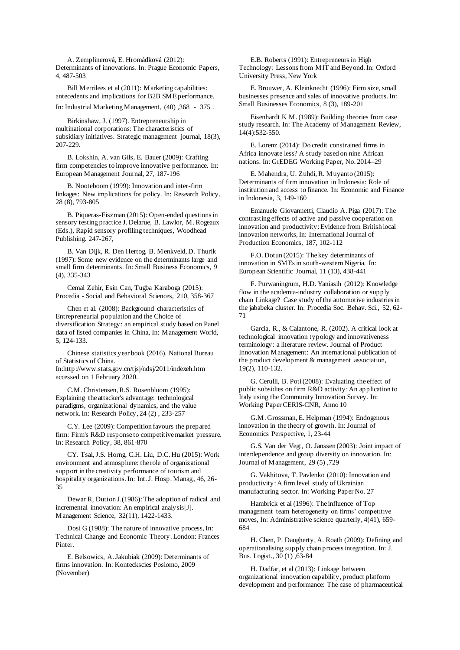A. Zemplinerová, E. Hromádková (2012): Determinants of innovations. In: Prague Economic Papers, 4, 487-503

Bill Merrilees et al (2011): Marketing capabilities: antecedents and implications for B2B SME performance.

In: Industrial Marketing Management, (40) ,368 - 375.

Birkinshaw, J. (1997). Entrepreneurship in multinational corporations: The characteristics of subsidiary initiatives. Strategic management journal, 18(3), 207-229.

B. Lokshin, A. van Gils, E. Bauer (2009): Crafting firm competencies to improve innovative performance. In: European Management Journal, 27, 187-196

B. Nooteboom (1999): Innovation and inter-firm linkages: New implications for policy. In: Research Policy, 28 (8), 793-805

B. Piqueras-Fiszman (2015): Open-ended questions in sensory testing practice J. Delarue, B. Lawlor, M. Rogeaux (Eds.), Rapid sensory profiling techniques, Woodhead Publishing. 247-267,

B. Van Dijk, R. Den Hertog, B. Menkveld, D. Thurik (1997): Some new evidence on the determinants large and small firm determinants. In: Small Business Economics, 9 (4), 335-343

Cemal Zehir, Esin Can, Tugba Karaboga (2015): Procedia - Social and Behavioral Sciences, 210, 358-367

Chen et al. (2008): Background characteristics of Entrepreneurial population and the Choice of diversification Strategy: an empirical study based on Panel data of listed companies in China, In: Management World, 5, 124-133.

Chinese statistics year book (2016). National Bureau of Statistics of China. In:http://www.stats.gov.cn/tjsj/ndsj/2011/indexeh.htm accessed on 1 February 2020.

C.M. Christensen, R.S. Rosenbloom (1995): Explaining the attacker's advantage: technological paradigms, organizational dynamics, and the value network. In: Research Policy, 24 (2) , 233-257

C.Y. Lee (2009): Competition favours the prepared firm: Firm's R&D response to competitive market pressure. In: Research Policy, 38, 861-870

CY. Tsai, J.S. Horng, C.H. Liu, D.C. Hu (2015): Work environment and atmosphere: the role of organizational support in the creativity performance of tourism and hospitality organizations. In: Int. J. Hosp. Manag., 46, 26- 35

Dewar R, Dutton J.(1986): The adoption of radical and incremental innovation: An empirical analysis[J]. Management Science, 32(11), 1422-1433.

Dosi G (1988): The nature of innovative process, In: Technical Change and Economic Theory. London: Frances Pinter.

E. Belsowics, A. Jakubiak (2009): Determinants of firms innovation. In: Konteckscies Posiomo, 2009 (November)

E.B. Roberts (1991): Entrepreneurs in High Technology: Lessons from MIT and Beyond. In: Oxford University Press, New York

E. Brouwer, A. Kleinknecht (1996): Firm size, small businesses presence and sales of innovative products. In: Small Businesses Economics, 8 (3), 189-201

Eisenhardt K M. (1989): Building theories from case study research. In: The Academy of Management Review, 14(4):532-550.

E. Lorenz (2014): Do credit constrained firms in Africa innovate less? A study based on nine African nations. In: GrEDEG Working Paper, No. 2014–29

E. Mahendra, U. Zuhdi, R. Muyanto (2015): Determinants of firm innovation in Indonesia: Role of institution and access to finance. In: Economic and Finance in Indonesia, 3, 149-160

Emanuele Giovannetti, Claudio A. Piga (2017): The contrasting effects of active and passive cooperation on innovation and productivity: Evidence from British local innovation networks, In: International Journal of Production Economics, 187, 102-112

F.O. Dotun (2015): The key determinants of innovation in SMEs in south-western Nigeria. In: European Scientific Journal, 11 (13), 438-441

F. Purwaningrum, H.D. Yaniasih (2012): Knowledge flow in the academia-industry collaboration or supply chain Linkage? Case study of the automotive industries in the jababeka cluster. In: Procedia Soc. Behav. Sci., 52, 62- 71

Garcia, R., & Calantone, R. (2002). A critical look at technological innovation typology and innovativeness terminology: a literature review. Journal of Product Innovation Management: An international publication of the product development & management association, 19(2), 110-132.

G. Cerulli, B. Poti (2008): Evaluating the effect of public subsidies on firm R&D activity: An application to Italy using the Community Innovation Survey. In: Working Paper CERIS-CNR, Anno 10

G.M. Grossman, E. Helpman (1994): Endogenous innovation in the theory of growth. In: Journal of Economics Perspective, 1, 23-44

G.S. Van der Vegt, O. Janssen (2003): Joint impact of interdependence and group diversity on innovation. In: Journal of Management, 29 (5) ,729

G. Vakhitova, T. Pavlenko (2010): Innovation and productivity: A firm level study of Ukrainian manufacturing sector. In: Working Paper No. 27

Hambrick et al (1996): The influence of Top management team heterogeneity on firms' competitive moves, In: Administrative science quarterly, 4(41), 659- 684

H. Chen, P. Daugherty, A. Roath (2009): Defining and operationalising supply chain process integration. In: J. Bus. Logist., 30 (1) ,63-84

H. Dadfar, et al (2013): Linkage between organizational innovation capability, product platform development and performance: The case of pharmaceutical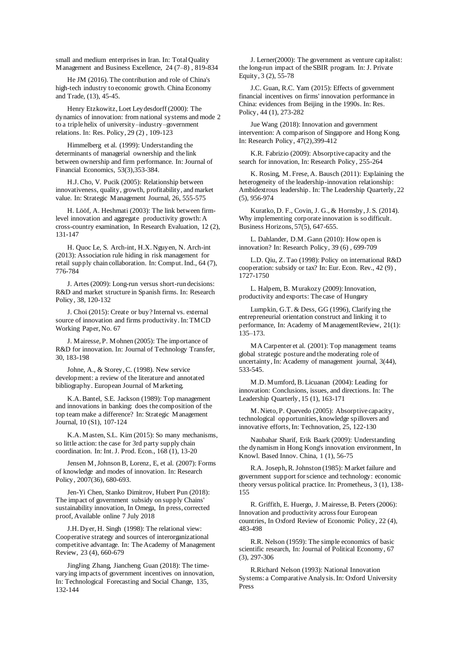small and medium enterprises in Iran. In: Total Quality Management and Business Excellence, 24 (7–8) , 819-834

He JM (2016). The contribution and role of China's high-tech industry to economic growth. China Economy and Trade, (13), 45-45.

Henry Etzkowitz, Loet Leydesdorff (2000): The dynamics of innovation: from national systems and mode 2 to a triple helix of university–industry–government relations. In: Res. Policy, 29 (2) , 109-123

Himmelberg et al. (1999): Understanding the determinants of managerial ownership and the link between ownership and firm performance. In: Journal of Financial Economics, 53(3),353-384.

H.J. Cho, V. Pucik (2005): Relationship between innovativeness, quality, growth, profitability, and market value. In: Strategic Management Journal, 26, 555-575

H. Lööf, A. Heshmati (2003): The link between firmlevel innovation and aggregate productivity growth: A cross-country examination, In Research Evaluation, 12 (2), 131-147

H. Quoc Le, S. Arch-int, H.X. Nguyen, N. Arch-int (2013): Association rule hiding in risk management for retail supply chain collaboration. In: Comput. Ind., 64 (7), 776-784

J. Artes (2009): Long-run versus short-run decisions: R&D and market structure in Spanish firms. In: Research Policy, 38, 120-132

J. Choi (2015): Create or buy? Internal vs. external source of innovation and firms productivity. In: TMCD Working Paper, No. 67

J. Mairesse, P. Mohnen (2005): The importance of R&D for innovation. In: Journal of Technology Transfer, 30, 183-198

Johne, A., & Storey, C. (1998). New service development: a review of the literature and annotated bibliography. European Journal of Marketing.

K.A. Bantel, S.E. Jackson (1989): Top management and innovations in banking: does the composition of the top team make a difference? In: Strategic Management Journal, 10 (S1), 107-124

K.A. Masten, S.L. Kim (2015): So many mechanisms, so little action: the case for 3rd party supply chain coordination. In: Int. J. Prod. Econ., 168 (1), 13-20

Jensen M, Johnson B, Lorenz, E, et al. (2007): Forms of knowledge and modes of innovation. In: Research Policy, 2007(36), 680-693.

Jen-Yi Chen, Stanko Dimitrov, Hubert Pun (2018): The impact of government subsidy on supply Chains' sustainability innovation, In Omega, In press, corrected proof, Available online 7 July 2018

J.H. Dyer, H. Singh (1998): The relational view: Cooperative strategy and sources of interorganizational competitive advantage. In: The Academy of Management Review, 23 (4), 660-679

JingJing Zhang, Jiancheng Guan (2018): The timevarying impacts of government incentives on innovation, In: Technological Forecasting and Social Change, 135, 132-144

J. Lerner(2000): The government as venture capitalist: the long-run impact of the SBIR program. In: J. Private Equity, 3 (2), 55-78

J.C. Guan, R.C. Yam (2015): Effects of government financial incentives on firms' innovation performance in China: evidences from Beijing in the 1990s. In: Res. Policy, 44 (1), 273-282

Jue Wang (2018): Innovation and government intervention: A comparison of Singapore and Hong Kong. In: Research Policy, 47(2),399-412

K.R. Fabrizio (2009): Absorptive capacity and the search for innovation, In: Research Policy, 255-264

K. Rosing, M. Frese, A. Bausch (2011): Explaining the heterogeneity of the leadership-innovation relationship: Ambidextrous leadership. In: The Leadership Quarterly, 22 (5), 956-974

Kuratko, D. F., Covin, J. G., & Hornsby, J. S. (2014). Why implementing corporate innovation is so difficult. Business Horizons, 57(5), 647-655.

L. Dahlander, D.M. Gann (2010): How open is innovation? In: Research Policy, 39 (6) , 699-709

L.D. Qiu, Z. Tao (1998): Policy on international R&D cooperation: subsidy or tax? In: Eur. Econ. Rev., 42 (9) , 1727-1750

L. Halpem, B. Murakozy (2009): Innovation, productivity and exports: The case of Hungary

Lumpkin, G.T. & Dess, GG (1996), Clarifying the entrepreneurial orientation construct and linking it to performance, In: Academy of ManagementReview, 21(1): 135–173.

MA Carpenter et al. (2001): Top management teams global strategic posture and the moderating role of uncertainty, In: Academy of management journal, 3(44), 533-545.

M.D. Mumford, B. Licuanan (2004): Leading for innovation: Conclusions, issues, and directions. In: The Leadership Quarterly, 15 (1), 163-171

M. Nieto, P. Quevedo (2005): Absorptive capacity, technological opportunities, knowledge spillovers and innovative efforts, In: Technovation, 25, 122-130

Naubahar Sharif, Erik Baark (2009): Understanding the dynamism in Hong Kong's innovation environment, In Knowl. Based Innov. China, 1 (1), 56-75

R.A. Joseph, R. Johnston (1985): Market failure and government support for science and technology: economic theory versus political practice. In: Prometheus, 3 (1), 138- 155

R. Griffith, E. Huergo, J. Mairesse, B. Peters (2006): Innovation and productivity across four European countries, In Oxford Review of Economic Policy, 22 (4), 483-498

R.R. Nelson (1959): The simple economics of basic scientific research, In: Journal of Political Economy, 67 (3), 297-306

R.Richard Nelson (1993): National Innovation Systems: a Comparative Analysis. In: Oxford University Press